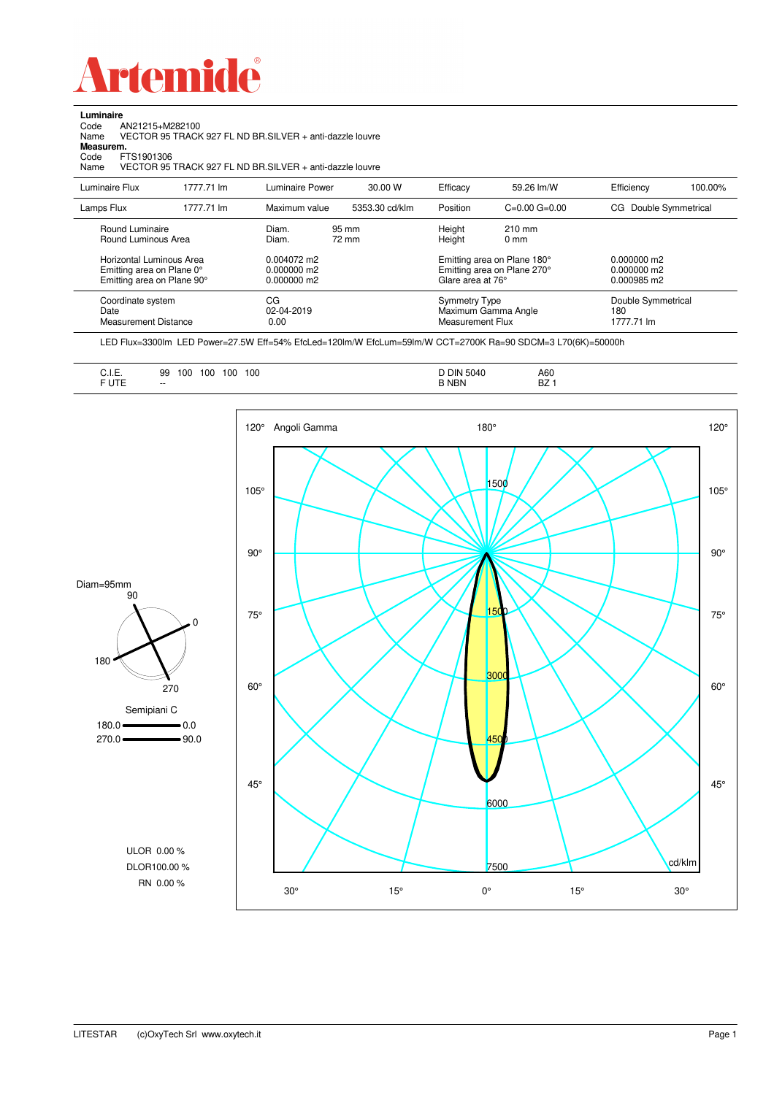

Code AN21215+M282100 Name VECTOR 95 TRACK 927 FL ND BR.SILVER + anti-dazzle louvre

**Luminaire**<br>Code /<br>Name \

**Measurem.**

| Code<br>FTS1901306<br>Name                                                          |            | VECTOR 95 TRACK 927 FL ND BR SILVER + anti-dazzle louvre |                |                                          |                                                            |                                             |         |
|-------------------------------------------------------------------------------------|------------|----------------------------------------------------------|----------------|------------------------------------------|------------------------------------------------------------|---------------------------------------------|---------|
| Luminaire Flux                                                                      | 1777.71 lm | <b>Luminaire Power</b>                                   | 30.00 W        | Efficacy                                 | 59.26 lm/W                                                 | Efficiency                                  | 100.00% |
| Lamps Flux                                                                          | 1777.71 lm | Maximum value                                            | 5353.30 cd/klm | Position                                 | $C=0.00$ $G=0.00$                                          | CG Double Symmetrical                       |         |
| Round Luminaire<br>Round Luminous Area                                              |            | Diam.<br>Diam.                                           | 95 mm<br>72 mm | Height<br>Height                         | $210$ mm<br>0 <sub>mm</sub>                                |                                             |         |
| Horizontal Luminous Area<br>Emitting area on Plane 0°<br>Emitting area on Plane 90° |            | 0.004072 m2<br>0.000000 m2<br>0.000000 m2                |                | Glare area at 76°                        | Emitting area on Plane 180°<br>Emitting area on Plane 270° | $0.000000$ m2<br>0.000000 m2<br>0.000985 m2 |         |
| Coordinate system<br>Date<br>Measurement Distance                                   |            | CG<br>02-04-2019<br>0.00                                 |                | <b>Symmetry Type</b><br>Measurement Flux | Maximum Gamma Angle                                        | Double Symmetrical<br>180<br>1777.71 lm     |         |

LED Flux=3300lm LED Power=27.5W Eff=54% EfcLed=120lm/W EfcLum=59lm/W CCT=2700K Ra=90 SDCM=3 L70(6K)=50000h